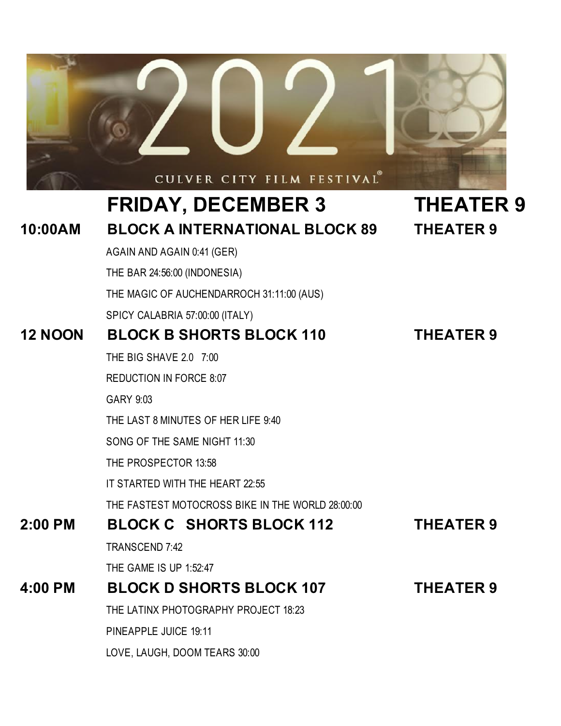

LOVE, LAUGH, DOOM TEARS 30:00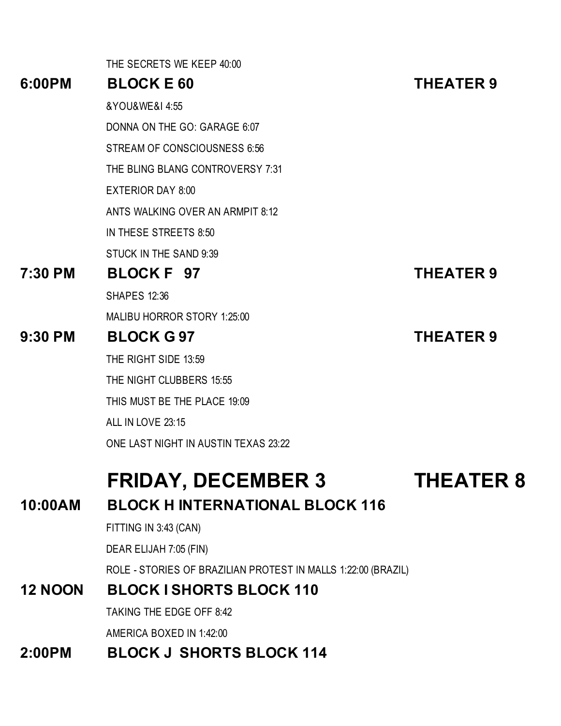|                | THE SECRETS WE KEEP 40:00                                     |                  |
|----------------|---------------------------------------------------------------|------------------|
| 6:00PM         | <b>BLOCK E 60</b>                                             | <b>THEATER 9</b> |
|                | &YOU&WE&I 4:55                                                |                  |
|                | DONNA ON THE GO: GARAGE 6:07                                  |                  |
|                | STREAM OF CONSCIOUSNESS 6:56                                  |                  |
|                | THE BLING BLANG CONTROVERSY 7:31                              |                  |
|                | <b>EXTERIOR DAY 8:00</b>                                      |                  |
|                | ANTS WALKING OVER AN ARMPIT 8:12                              |                  |
|                | IN THESE STREETS 8:50                                         |                  |
|                | STUCK IN THE SAND 9:39                                        |                  |
| 7:30 PM        | BLOCK F 97                                                    | <b>THEATER 9</b> |
|                | <b>SHAPES 12:36</b>                                           |                  |
|                | MALIBU HORROR STORY 1:25:00                                   |                  |
| $9:30$ PM      | <b>BLOCK G97</b>                                              | <b>THEATER 9</b> |
|                | THE RIGHT SIDE 13:59                                          |                  |
|                | THE NIGHT CLUBBERS 15:55                                      |                  |
|                | THIS MUST BE THE PLACE 19:09                                  |                  |
|                | ALL IN LOVE 23:15                                             |                  |
|                | ONE LAST NIGHT IN AUSTIN TEXAS 23:22                          |                  |
|                | <b>FRIDAY, DECEMBER 3</b>                                     | <b>THEATER 8</b> |
| 10:00AM        | <b>BLOCK HINTERNATIONAL BLOCK 116</b>                         |                  |
|                | FITTING IN 3:43 (CAN)                                         |                  |
|                | DEAR ELIJAH 7:05 (FIN)                                        |                  |
|                | ROLE - STORIES OF BRAZILIAN PROTEST IN MALLS 1:22:00 (BRAZIL) |                  |
| <b>12 NOON</b> | <b>BLOCK I SHORTS BLOCK 110</b>                               |                  |
|                | <b>TAKING THE EDGE OFF 8:42</b>                               |                  |
|                | AMERICA BOXED IN 1:42:00                                      |                  |
|                |                                                               |                  |

#### **2:00PM BLOCK J SHORTS BLOCK 114**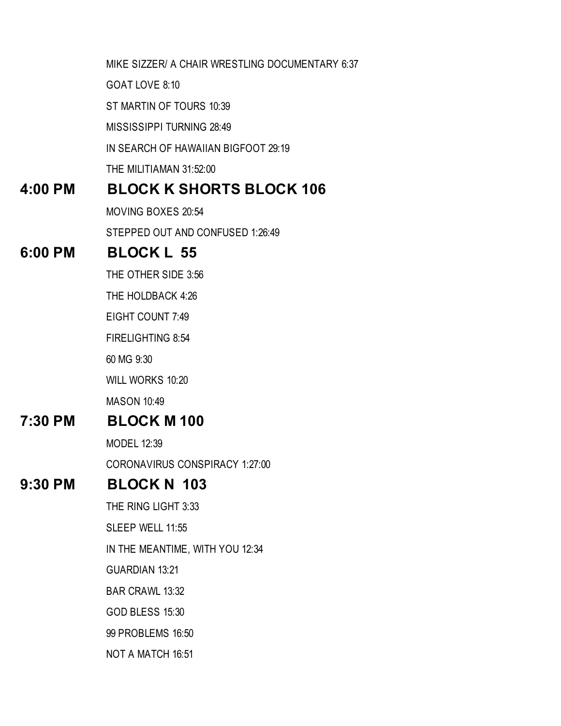MIKE SIZZER/ A CHAIR WRESTLING DOCUMENTARY 6:37 GOAT LOVE 8:10 ST MARTIN OF TOURS 10:39 MISSISSIPPI TURNING 28:49 IN SEARCH OF HAWAIIAN BIGFOOT 29:19 THE MILITIAMAN 31:52:00 **4:00 PM BLOCK K SHORTS BLOCK 106** MOVING BOXES 20:54 STEPPED OUT AND CONFUSED 1:26:49 **6:00 PM BLOCK L 55** THE OTHER SIDE 3:56 THE HOLDBACK 4:26 EIGHT COUNT 7:49 FIRELIGHTING 8:54 60 MG 9:30 WILL WORKS 10:20 MASON 10:49 **7:30 PM BLOCK M 100** MODEL 12:39 CORONAVIRUS CONSPIRACY 1:27:00 **9:30 PM BLOCK N 103** THE RING LIGHT 3:33 SLEEP WELL 11:55 IN THE MEANTIME, WITH YOU 12:34 GUARDIAN 13:21 BAR CRAWL 13:32 GOD BLESS 15:30 99 PROBLEMS 16:50 NOT A MATCH 16:51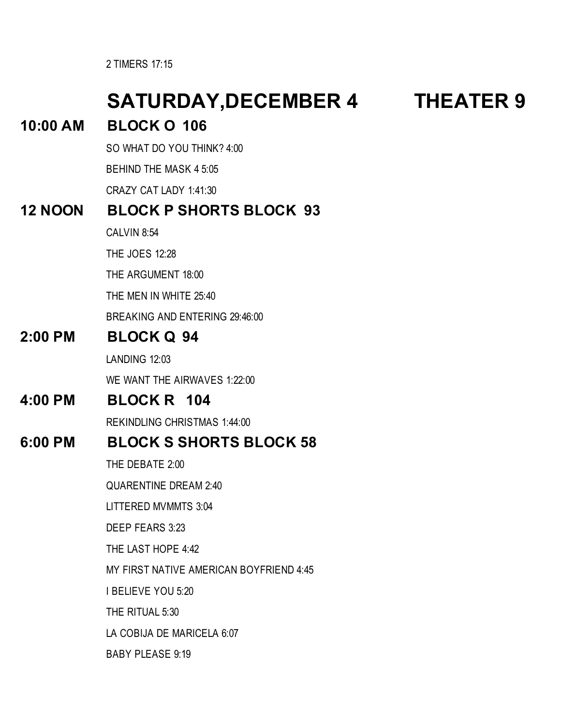2 TIMERS 17:15

### **SATURDAY,DECEMBER 4 THEATER 9 10:00 AM BLOCK O 106** SO WHAT DO YOU THINK? 4:00 BEHIND THE MASK 4 5:05 CRAZY CAT LADY 1:41:30 **12 NOON BLOCK P SHORTS BLOCK 93**  CALVIN 8:54 THE JOES 12:28 THE ARGUMENT 18:00 THE MEN IN WHITE 25:40 BREAKING AND ENTERING 29:46:00 **2:00 PM BLOCK Q 94** LANDING 12:03 WE WANT THE AIRWAVES 1:22:00 **4:00 PM BLOCK R 104** REKINDLING CHRISTMAS 1:44:00 **6:00 PM BLOCK S SHORTS BLOCK 58** THE DEBATE 2:00 QUARENTINE DREAM 2:40 LITTERED MVMMTS 3:04 DEEP FEARS 3:23 THE LAST HOPE 4:42 MY FIRST NATIVE AMERICAN BOYFRIEND 4:45 I BELIEVE YOU 5:20 THE RITUAL 5:30 LA COBIJA DE MARICELA 6:07 BABY PLEASE 9:19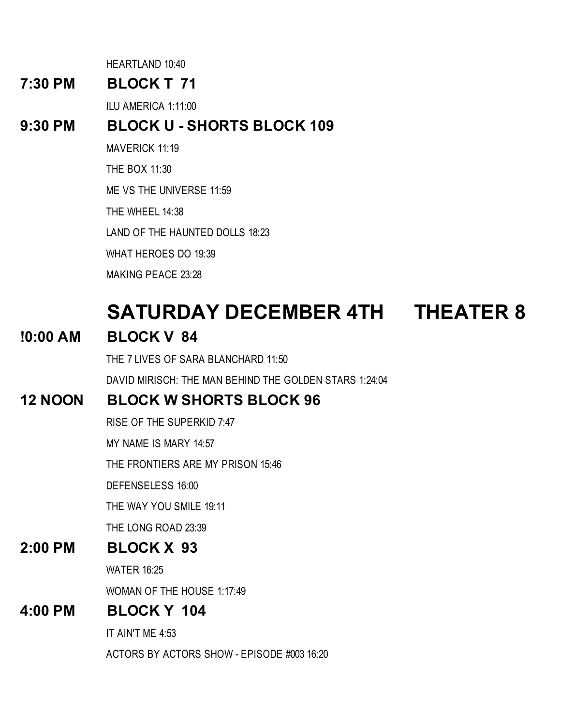HEARTLAND 10:40

#### **7:30 PM BLOCK T 71**

ILU AMERICA 1:11:00

#### **9:30 PM BLOCK U - SHORTS BLOCK 109**

MAVERICK 11:19

THE BOX 11:30

ME VS THE UNIVERSE 11:59

THE WHEEL 14:38

LAND OF THE HAUNTED DOLLS 18:23

WHAT HEROES DO 19:39

MAKING PEACE 23:28

### **SATURDAY DECEMBER 4TH THEATER 8**

#### **!0:00 AM BLOCK V 84**

THE 7 LIVES OF SARA BLANCHARD 11:50

DAVID MIRISCH: THE MAN BEHIND THE GOLDEN STARS 1:24:04

#### **12 NOON BLOCK W SHORTS BLOCK 96**

RISE OF THE SUPERKID 7:47

MY NAME IS MARY 14:57

THE FRONTIERS ARE MY PRISON 15:46

DEFENSELESS 16:00

THE WAY YOU SMILE 19:11

THE LONG ROAD 23:39

#### **2:00 PM BLOCK X 93**

WATER 16:25

WOMAN OF THE HOUSE 1:17:49

#### **4:00 PM BLOCK Y 104**

IT AIN'T ME 4:53

ACTORS BY ACTORS SHOW - EPISODE #003 16:20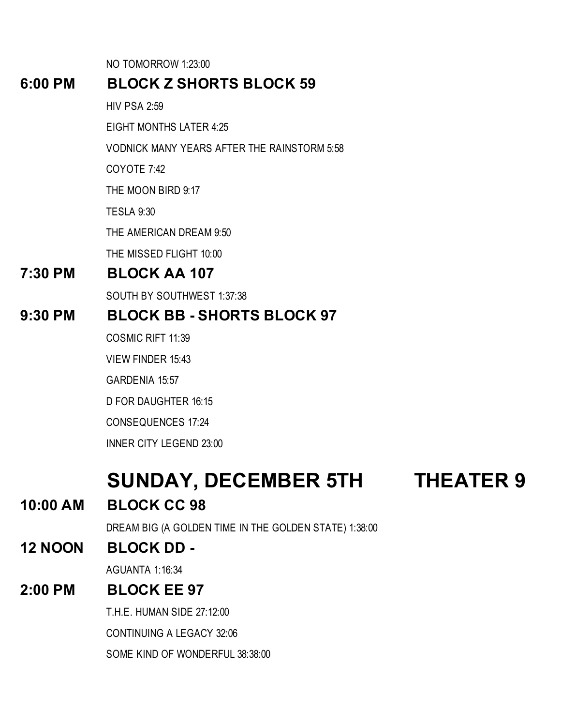NO TOMORROW 1:23:00

#### **6:00 PM BLOCK Z SHORTS BLOCK 59**

HIV PSA 2:59

EIGHT MONTHS LATER 4:25

VODNICK MANY YEARS AFTER THE RAINSTORM 5:58

COYOTE 7:42

THE MOON BIRD 9:17

TESLA 9:30

THE AMERICAN DREAM 9:50

THE MISSED FLIGHT 10:00

#### **7:30 PM BLOCK AA 107**

SOUTH BY SOUTHWEST 1:37:38

#### **9:30 PM BLOCK BB - SHORTS BLOCK 97**

COSMIC RIFT 11:39

VIEW FINDER 15:43

GARDENIA 15:57

D FOR DAUGHTER 16:15

CONSEQUENCES 17:24

INNER CITY LEGEND 23:00

### **SUNDAY, DECEMBER 5TH THEATER 9**

**10:00 AM BLOCK CC 98**

DREAM BIG (A GOLDEN TIME IN THE GOLDEN STATE) 1:38:00

#### **12 NOON BLOCK DD -**

AGUANTA 1:16:34

#### **2:00 PM BLOCK EE 97**

T.H.E. HUMAN SIDE 27:12:00

CONTINUING A LEGACY 32:06

SOME KIND OF WONDERFUL 38:38:00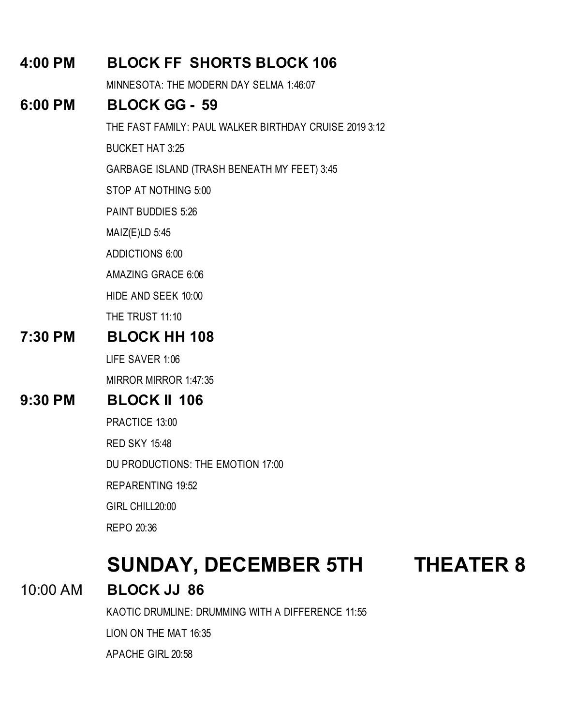#### **4:00 PM BLOCK FF SHORTS BLOCK 106**

MINNESOTA: THE MODERN DAY SELMA 1:46:07

#### **6:00 PM BLOCK GG - 59**

THE FAST FAMILY: PAUL WALKER BIRTHDAY CRUISE 2019 3:12

BUCKET HAT 3:25

GARBAGE ISLAND (TRASH BENEATH MY FEET) 3:45

STOP AT NOTHING 5:00

PAINT BUDDIES 5:26

MAIZ(E)LD 5:45

ADDICTIONS 6:00

AMAZING GRACE 6:06

HIDE AND SEEK 10:00

THE TRUST 11:10

#### **7:30 PM BLOCK HH 108**

LIFE SAVER 1:06

MIRROR MIRROR 1:47:35

#### **9:30 PM BLOCK II 106**

PRACTICE 13:00

RED SKY 15:48

DU PRODUCTIONS: THE EMOTION 17:00

REPARENTING 19:52

GIRL CHILL20:00

REPO 20:36

### **SUNDAY, DECEMBER 5TH THEATER 8**

10:00 AM **BLOCK JJ 86**

KAOTIC DRUMLINE: DRUMMING WITH A DIFFERENCE 11:55

LION ON THE MAT 16:35

APACHE GIRL 20:58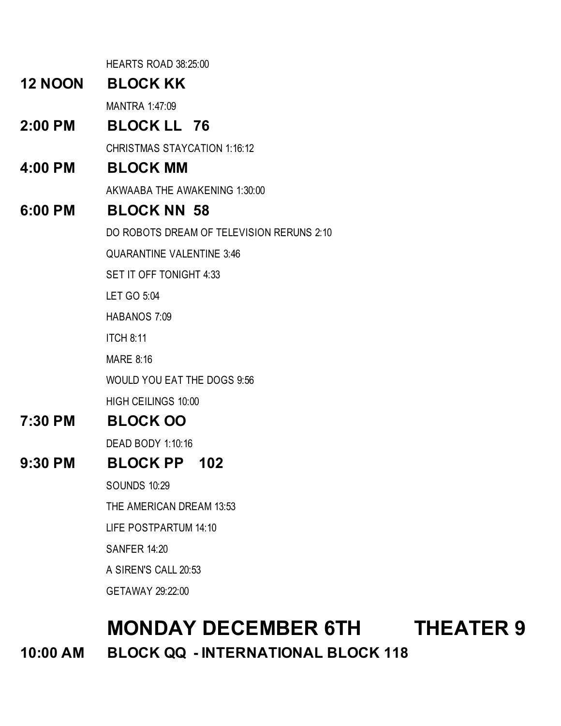HEARTS ROAD 38:25:00

#### **12 NOON BLOCK KK**

MANTRA 1:47:09

#### **2:00 PM BLOCK LL 76**

CHRISTMAS STAYCATION 1:16:12

#### **4:00 PM BLOCK MM**

AKWAABA THE AWAKENING 1:30:00

#### **6:00 PM BLOCK NN 58**

DO ROBOTS DREAM OF TELEVISION RERUNS 2:10

QUARANTINE VALENTINE 3:46

SET IT OFF TONIGHT 4:33

LET GO 5:04

HABANOS 7:09

ITCH 8:11

MARE 8:16

WOULD YOU EAT THE DOGS 9:56

HIGH CEILINGS 10:00

#### **7:30 PM BLOCK OO**

DEAD BODY 1:10:16

#### **9:30 PM BLOCK PP 102**

SOUNDS 10:29

THE AMERICAN DREAM 13:53

LIFE POSTPARTUM 14:10

SANFER 14:20

A SIREN'S CALL 20:53

GETAWAY 29:22:00

### **MONDAY DECEMBER 6TH THEATER 9 10:00 AM BLOCK QQ - INTERNATIONAL BLOCK 118**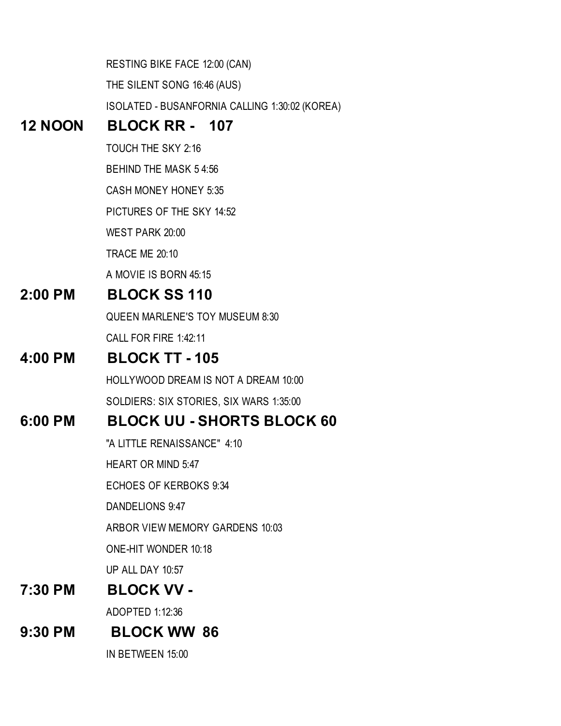RESTING BIKE FACE 12:00 (CAN) THE SILENT SONG 16:46 (AUS) ISOLATED - BUSANFORNIA CALLING 1:30:02 (KOREA)

#### **12 NOON BLOCK RR - 107**

TOUCH THE SKY 2:16

BEHIND THE MASK 5 4:56

CASH MONEY HONEY 5:35

PICTURES OF THE SKY 14:52

WEST PARK 20:00

TRACE ME 20:10

A MOVIE IS BORN 45:15

#### **2:00 PM BLOCK SS 110**

QUEEN MARLENE'S TOY MUSEUM 8:30 CALL FOR FIRE 1:42:11

#### **4:00 PM BLOCK TT - 105**

HOLLYWOOD DREAM IS NOT A DREAM 10:00 SOLDIERS: SIX STORIES, SIX WARS 1:35:00

#### **6:00 PM BLOCK UU - SHORTS BLOCK 60**

"A LITTLE RENAISSANCE" 4:10

HEART OR MIND 5:47

ECHOES OF KERBOKS 9:34

DANDELIONS 9:47

ARBOR VIEW MEMORY GARDENS 10:03

ONE-HIT WONDER 10:18

UP ALL DAY 10:57

#### **7:30 PM BLOCK VV -**

ADOPTED 1:12:36

#### **9:30 PM BLOCK WW 86**

IN BETWEEN 15:00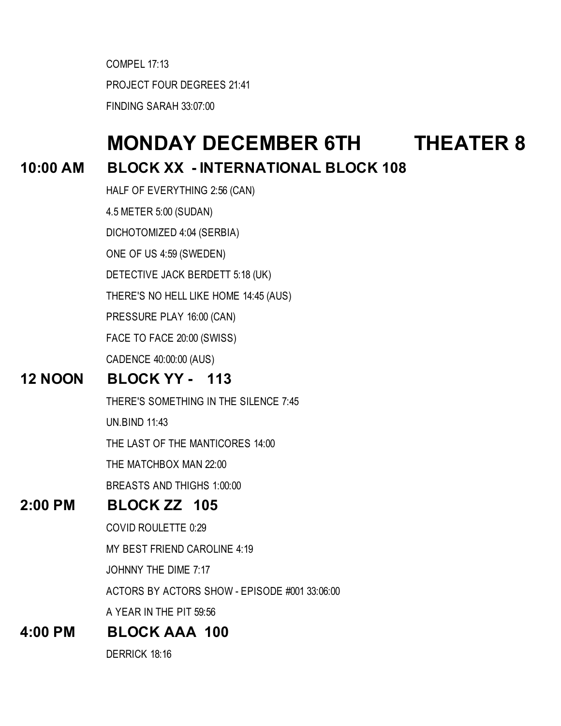COMPEL 17:13 PROJECT FOUR DEGREES 21:41 FINDING SARAH 33:07:00

### **MONDAY DECEMBER 6TH THEATER 8**

#### **10:00 AM BLOCK XX - INTERNATIONAL BLOCK 108**

HALF OF EVERYTHING 2:56 (CAN) 4.5 METER 5:00 (SUDAN) DICHOTOMIZED 4:04 (SERBIA) ONE OF US 4:59 (SWEDEN) DETECTIVE JACK BERDETT 5:18 (UK) THERE'S NO HELL LIKE HOME 14:45 (AUS) PRESSURE PLAY 16:00 (CAN) FACE TO FACE 20:00 (SWISS) CADENCE 40:00:00 (AUS)

#### **12 NOON BLOCK YY - 113**

THERE'S SOMETHING IN THE SILENCE 7:45

UN.BIND 11:43

THE LAST OF THE MANTICORES 14:00

THE MATCHBOX MAN 22:00

BREASTS AND THIGHS 1:00:00

#### **2:00 PM BLOCK ZZ 105**

COVID ROULETTE 0:29

MY BEST FRIEND CAROLINE 4:19

JOHNNY THE DIME 7:17

ACTORS BY ACTORS SHOW - EPISODE #001 33:06:00

A YEAR IN THE PIT 59:56

#### **4:00 PM BLOCK AAA 100**

DERRICK 18:16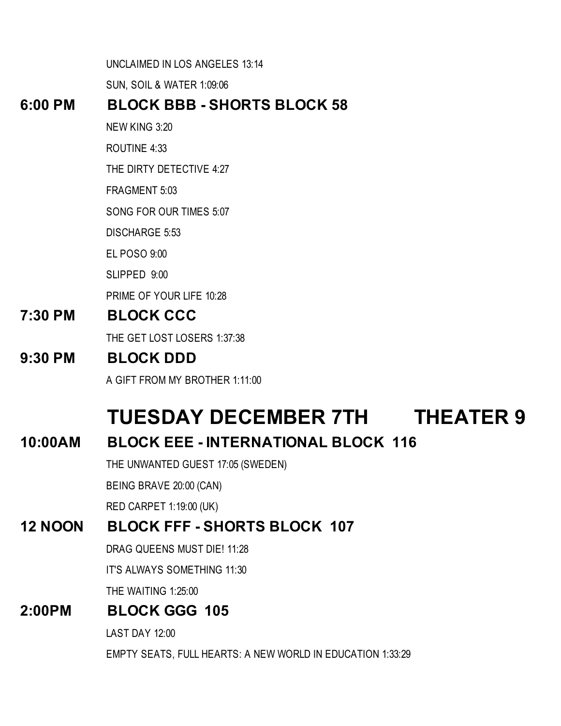UNCLAIMED IN LOS ANGELES 13:14

SUN, SOIL & WATER 1:09:06

#### **6:00 PM BLOCK BBB - SHORTS BLOCK 58**

- NEW KING 3:20
- ROUTINE 4:33
- THE DIRTY DETECTIVE 4:27
- FRAGMENT 5:03
- SONG FOR OUR TIMES 5:07
- DISCHARGE 5:53
- EL POSO 9:00
- SLIPPED 9:00
- PRIME OF YOUR LIFE 10:28

#### **7:30 PM BLOCK CCC**

THE GET LOST LOSERS 1:37:38

#### **9:30 PM BLOCK DDD**

A GIFT FROM MY BROTHER 1:11:00

## **TUESDAY DECEMBER 7TH THEATER 9**

#### **10:00AM BLOCK EEE - INTERNATIONAL BLOCK 116**

THE UNWANTED GUEST 17:05 (SWEDEN)

BEING BRAVE 20:00 (CAN)

RED CARPET 1:19:00 (UK)

#### **12 NOON BLOCK FFF - SHORTS BLOCK 107**

DRAG QUEENS MUST DIE! 11:28

IT'S ALWAYS SOMETHING 11:30

THE WAITING 1:25:00

#### **2:00PM BLOCK GGG 105**

LAST DAY 12:00

EMPTY SEATS, FULL HEARTS: A NEW WORLD IN EDUCATION 1:33:29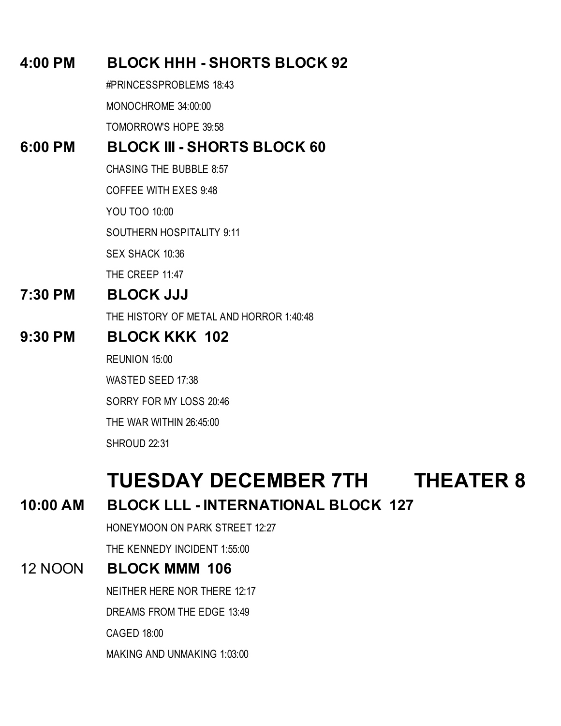#### **4:00 PM BLOCK HHH - SHORTS BLOCK 92**

#PRINCESSPROBLEMS 18:43

MONOCHROME 34:00:00

TOMORROW'S HOPE 39:58

#### **6:00 PM BLOCK III - SHORTS BLOCK 60**

CHASING THE BUBBLE 8:57

COFFEE WITH EXES 9:48

YOU TOO 10:00

SOUTHERN HOSPITALITY 9:11

SEX SHACK 10:36

THE CREEP 11:47

#### **7:30 PM BLOCK JJJ**

THE HISTORY OF METAL AND HORROR 1:40:48

#### **9:30 PM BLOCK KKK 102**

REUNION 15:00

WASTED SEED 17:38

SORRY FOR MY LOSS 20:46

THE WAR WITHIN 26:45:00

SHROUD 22:31

### **TUESDAY DECEMBER 7TH THEATER 8**

#### **10:00 AM BLOCK LLL - INTERNATIONAL BLOCK 127**

HONEYMOON ON PARK STREET 12:27

THE KENNEDY INCIDENT 1:55:00

#### 12 NOON **BLOCK MMM 106**

NEITHER HERE NOR THERE 12:17

DREAMS FROM THE EDGE 13:49

CAGED 18:00

MAKING AND UNMAKING 1:03:00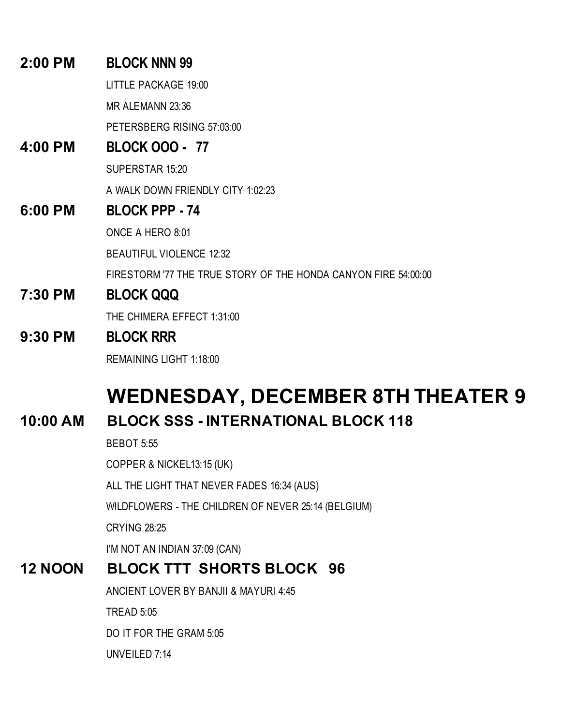#### **2:00 PM BLOCK NNN 99**

LITTLE PACKAGE 19:00

MR ALEMANN 23:36

PETERSBERG RISING 57:03:00

#### **4:00 PM BLOCK OOO - 77**

SUPERSTAR 15:20

A WALK DOWN FRIENDLY CITY 1:02:23

#### **6:00 PM BLOCK PPP - 74**

ONCE A HERO 8:01

BEAUTIFUL VIOLENCE 12:32

FIRESTORM '77 THE TRUE STORY OF THE HONDA CANYON FIRE 54:00:00

#### **7:30 PM BLOCK QQQ**

THE CHIMERA EFFECT 1:31:00

#### **9:30 PM BLOCK RRR**

REMAINING LIGHT 1:18:00

## **WEDNESDAY, DECEMBER 8TH THEATER 9**

#### **10:00 AM BLOCK SSS - INTERNATIONAL BLOCK 118**

BEBOT 5:55

COPPER & NICKEL13:15 (UK)

ALL THE LIGHT THAT NEVER FADES 16:34 (AUS)

WILDFLOWERS - THE CHILDREN OF NEVER 25:14 (BELGIUM)

CRYING 28:25

I'M NOT AN INDIAN 37:09 (CAN)

#### **12 NOON BLOCK TTT SHORTS BLOCK 96**

ANCIENT LOVER BY BANJII & MAYURI 4:45

TREAD 5:05

DO IT FOR THE GRAM 5:05

UNVEILED 7:14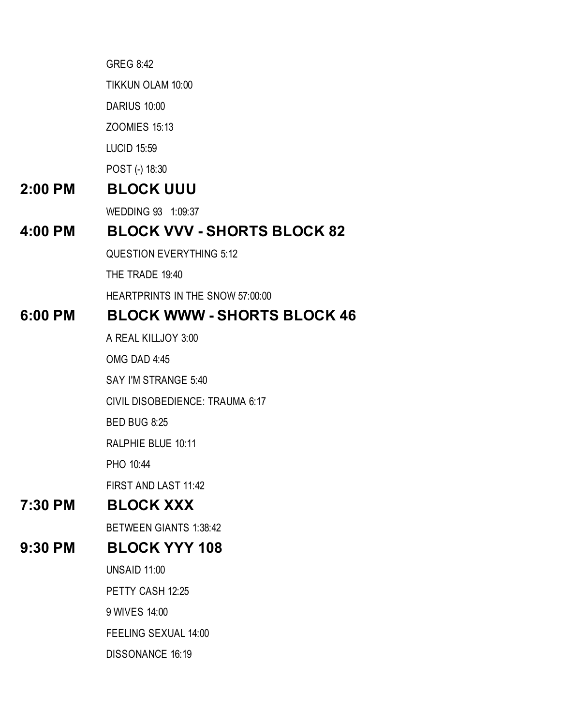GREG 8:42

TIKKUN OLAM 10:00

DARIUS 10:00

ZOOMIES 15:13

LUCID 15:59

POST (-) 18:30

#### **2:00 PM BLOCK UUU**

WEDDING 93 1:09:37

#### **4:00 PM BLOCK VVV - SHORTS BLOCK 82**

QUESTION EVERYTHING 5:12

THE TRADE 19:40

HEARTPRINTS IN THE SNOW 57:00:00

#### **6:00 PM BLOCK WWW - SHORTS BLOCK 46**

A REAL KILLJOY 3:00

OMG DAD 4:45

SAY I'M STRANGE 5:40

CIVIL DISOBEDIENCE: TRAUMA 6:17

BED BUG 8:25

RALPHIE BLUE 10:11

PHO 10:44

FIRST AND LAST 11:42

#### **7:30 PM BLOCK XXX**

BETWEEN GIANTS 1:38:42

#### **9:30 PM BLOCK YYY 108**

UNSAID 11:00

PETTY CASH 12:25

9 WIVES 14:00

FEELING SEXUAL 14:00

DISSONANCE 16:19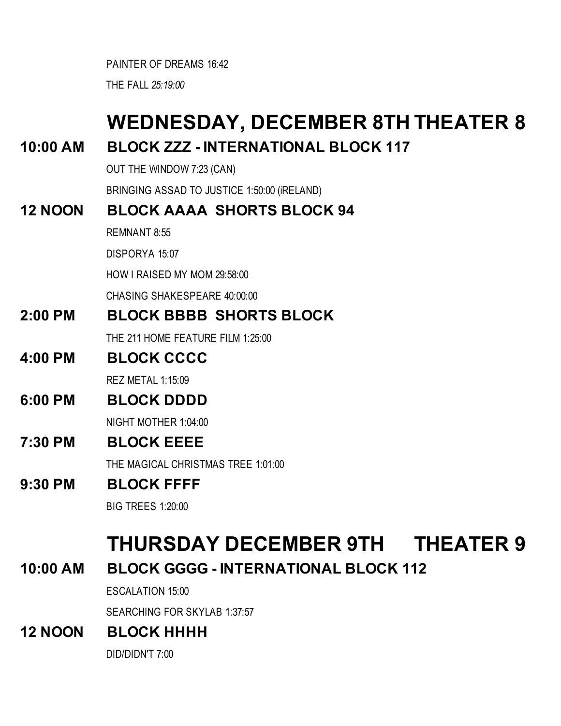PAINTER OF DREAMS 16:42

THE FALL *25:19:00*

# **WEDNESDAY, DECEMBER 8TH THEATER 8**

#### **10:00 AM BLOCK ZZZ - INTERNATIONAL BLOCK 117**

OUT THE WINDOW 7:23 (CAN)

BRINGING ASSAD TO JUSTICE 1:50:00 (iRELAND)

#### **12 NOON BLOCK AAAA SHORTS BLOCK 94**

REMNANT 8:55

DISPORYA 15:07

HOW I RAISED MY MOM 29:58:00

CHASING SHAKESPEARE 40:00:00

**2:00 PM BLOCK BBBB SHORTS BLOCK** 

THE 211 HOME FEATURE FILM 1:25:00

#### **4:00 PM BLOCK CCCC**

REZ METAL 1:15:09

#### **6:00 PM BLOCK DDDD**

NIGHT MOTHER 1:04:00

#### **7:30 PM BLOCK EEEE**

THE MAGICAL CHRISTMAS TREE 1:01:00

#### **9:30 PM BLOCK FFFF**

BIG TREES 1:20:00

### **THURSDAY DECEMBER 9TH THEATER 9**

**10:00 AM BLOCK GGGG - INTERNATIONAL BLOCK 112**

ESCALATION 15:00

SEARCHING FOR SKYLAB 1:37:57

#### **12 NOON BLOCK HHHH**

DID/DIDN'T 7:00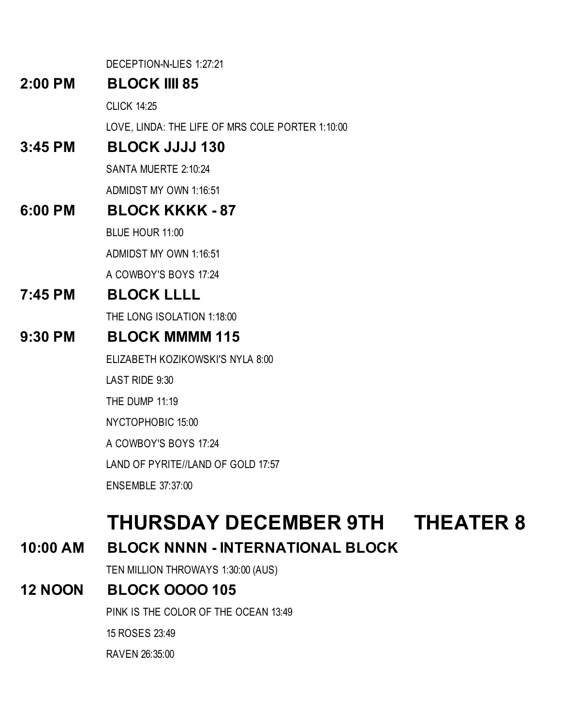DECEPTION-N-LIES 1:27:21

#### **2:00 PM BLOCK IIII 85**

CLICK 14:25

LOVE, LINDA: THE LIFE OF MRS COLE PORTER 1:10:00

#### **3:45 PM BLOCK JJJJ 130**

SANTA MUERTE 2:10:24 ADMIDST MY OWN 1:16:51

#### **6:00 PM BLOCK KKKK - 87**

BLUE HOUR 11:00

ADMIDST MY OWN 1:16:51

A COWBOY'S BOYS 17:24

#### **7:45 PM BLOCK LLLL**

THE LONG ISOLATION 1:18:00

#### **9:30 PM BLOCK MMMM 115**

ELIZABETH KOZIKOWSKI'S NYLA 8:00

LAST RIDE 9:30

THE DUMP 11:19

NYCTOPHOBIC 15:00

A COWBOY'S BOYS 17:24

LAND OF PYRITE//LAND OF GOLD 17:57

ENSEMBLE 37:37:00

## **THURSDAY DECEMBER 9TH THEATER 8**

### **10:00 AM BLOCK NNNN - INTERNATIONAL BLOCK**

TEN MILLION THROWAYS 1:30:00 (AUS)

### **12 NOON BLOCK OOOO 105**

PINK IS THE COLOR OF THE OCEAN 13:49

15 ROSES 23:49

RAVEN 26:35:00